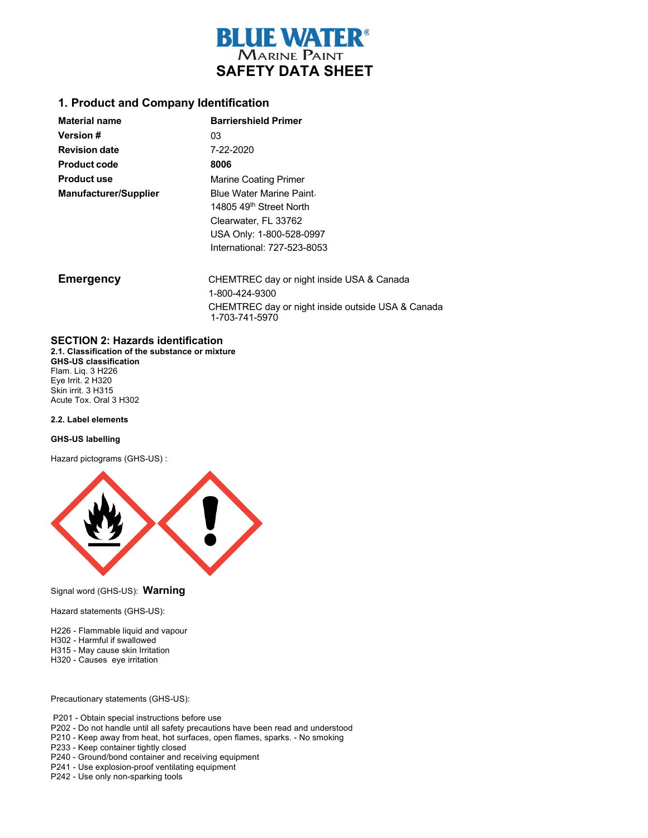

#### **1. Product and Company Identification**

| <b>Material name</b>         | <b>Barriershield Primer</b>         |
|------------------------------|-------------------------------------|
| <b>Version #</b>             | 03                                  |
| <b>Revision date</b>         | 7-22-2020                           |
| <b>Product code</b>          | 8006                                |
| <b>Product use</b>           | <b>Marine Coating Primer</b>        |
| <b>Manufacturer/Supplier</b> | Blue Water Marine Paint.            |
|                              | 14805 49 <sup>th</sup> Street North |
|                              | Clearwater, FL 33762                |
|                              | USA Only: 1-800-528-0997            |
|                              | International: 727-523-8053         |

**Emergency** CHEMTREC day or night inside USA & Canada 1-800-424-9300 CHEMTREC day or night inside outside USA & Canada 1-703-741-5970

#### **SECTION 2: Hazards identification**

**2.1. Classification of the substance or mixture GHS-US classification** Flam. Liq. 3 H226 Eye Irrit. 2 H320 Skin irrit. 3 H315 Acute Tox. Oral 3 H302

#### **2.2. Label elements**

#### **GHS-US labelling**

Hazard pictograms (GHS-US) :



#### Signal word (GHS-US): **Warning**

Hazard statements (GHS-US):

- H226 Flammable liquid and vapour
- H302 Harmful if swallowed
- H315 May cause skin Irritation
- H320 Causes eye irritation

#### Precautionary statements (GHS-US):

- P201 Obtain special instructions before use
- P202 Do not handle until all safety precautions have been read and understood
- P210 Keep away from heat, hot surfaces, open flames, sparks. No smoking
- P233 Keep container tightly closed
- P240 Ground/bond container and receiving equipment
- P241 Use explosion-proof ventilating equipment
- P242 Use only non-sparking tools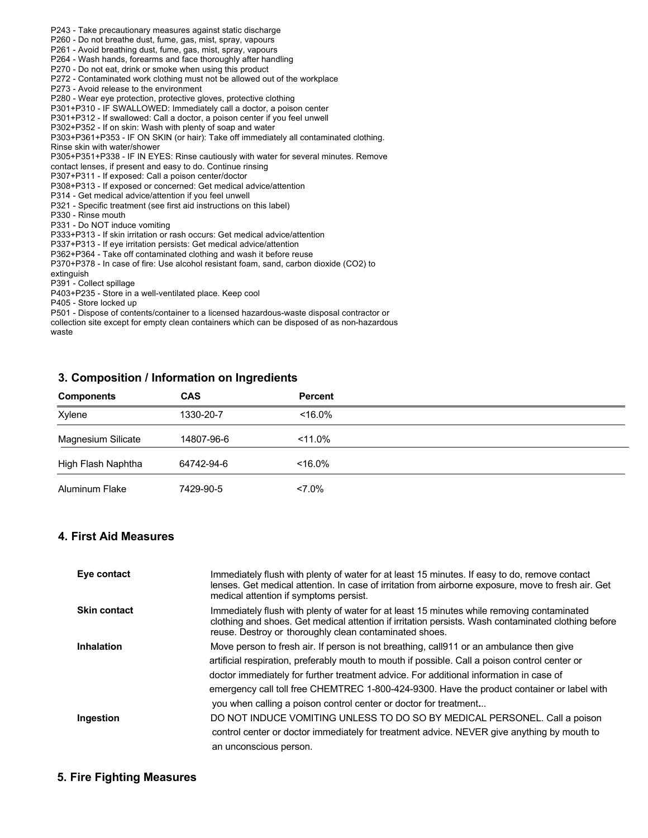- P243 Take precautionary measures against static discharge
- P260 Do not breathe dust, fume, gas, mist, spray, vapours
- P261 Avoid breathing dust, fume, gas, mist, spray, vapours
- P264 Wash hands, forearms and face thoroughly after handling
- P270 Do not eat, drink or smoke when using this product
- P272 Contaminated work clothing must not be allowed out of the workplace
- P273 Avoid release to the environment
- P280 Wear eye protection, protective gloves, protective clothing
- P301+P310 IF SWALLOWED: Immediately call a doctor, a poison center
- P301+P312 If swallowed: Call a doctor, a poison center if you feel unwell
- P302+P352 If on skin: Wash with plenty of soap and water

P303+P361+P353 - IF ON SKIN (or hair): Take off immediately all contaminated clothing. Rinse skin with water/shower

P305+P351+P338 - IF IN EYES: Rinse cautiously with water for several minutes. Remove

contact lenses, if present and easy to do. Continue rinsing

P307+P311 - If exposed: Call a poison center/doctor

P308+P313 - If exposed or concerned: Get medical advice/attention

P314 - Get medical advice/attention if you feel unwell

- P321 Specific treatment (see first aid instructions on this label)
- P330 Rinse mouth

P331 - Do NOT induce vomiting

P333+P313 - If skin irritation or rash occurs: Get medical advice/attention

P337+P313 - If eye irritation persists: Get medical advice/attention

P362+P364 - Take off contaminated clothing and wash it before reuse

P370+P378 - In case of fire: Use alcohol resistant foam, sand, carbon dioxide (CO2) to extinguish

P391 - Collect spillage

P403+P235 - Store in a well-ventilated place. Keep cool

P405 - Store locked up

P501 - Dispose of contents/container to a licensed hazardous-waste disposal contractor or

collection site except for empty clean containers which can be disposed of as non-hazardous waste

## **3. Composition / Information on Ingredients**

| <b>Components</b>  | CAS        | <b>Percent</b> |  |
|--------------------|------------|----------------|--|
| Xylene             | 1330-20-7  | $< 16.0\%$     |  |
| Magnesium Silicate | 14807-96-6 | $< 11.0\%$     |  |
| High Flash Naphtha | 64742-94-6 | $< 16.0\%$     |  |
| Aluminum Flake     | 7429-90-5  | $< 7.0\%$      |  |

## **4. First Aid Measures**

| Eye contact         | Immediately flush with plenty of water for at least 15 minutes. If easy to do, remove contact<br>lenses. Get medical attention. In case of irritation from airborne exposure, move to fresh air. Get<br>medical attention if symptoms persist.              |
|---------------------|-------------------------------------------------------------------------------------------------------------------------------------------------------------------------------------------------------------------------------------------------------------|
| <b>Skin contact</b> | Immediately flush with plenty of water for at least 15 minutes while removing contaminated<br>clothing and shoes. Get medical attention if irritation persists. Wash contaminated clothing before<br>reuse. Destroy or thoroughly clean contaminated shoes. |
| <b>Inhalation</b>   | Move person to fresh air. If person is not breathing, call911 or an ambulance then give                                                                                                                                                                     |
|                     | artificial respiration, preferably mouth to mouth if possible. Call a poison control center or                                                                                                                                                              |
|                     | doctor immediately for further treatment advice. For additional information in case of                                                                                                                                                                      |
|                     | emergency call toll free CHEMTREC 1-800-424-9300. Have the product container or label with                                                                                                                                                                  |
|                     | you when calling a poison control center or doctor for treatment                                                                                                                                                                                            |
| Ingestion           | DO NOT INDUCE VOMITING UNLESS TO DO SO BY MEDICAL PERSONEL. Call a poison                                                                                                                                                                                   |
|                     | control center or doctor immediately for treatment advice. NEVER give anything by mouth to                                                                                                                                                                  |
|                     | an unconscious person.                                                                                                                                                                                                                                      |

## **5. Fire Fighting Measures**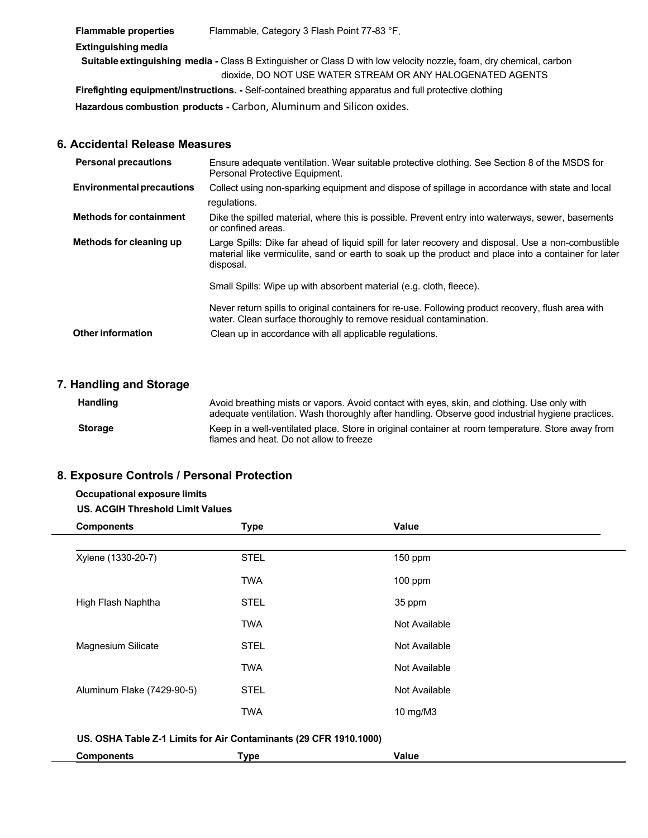**Flammable properties** Flammable, Category 3 Flash Point 77-83 °F.  **Extinguishing media Suitable extinguishing media -** Class B Extinguisher or Class D with low velocity nozzle**,** foam, dry chemical, carbon dioxide, DO NOT USE WATER STREAM OR ANY HALOGENATED AGENTS  **Firefighting equipment/instructions. -** Self-contained breathing apparatus and full protective clothing  **Hazardous combustion products -** Carbon, Aluminum and Silicon oxides.

## **6. Accidental Release Measures**

| <b>Personal precautions</b>      | Ensure adequate ventilation. Wear suitable protective clothing. See Section 8 of the MSDS for<br>Personal Protective Equipment.                                                                                          |
|----------------------------------|--------------------------------------------------------------------------------------------------------------------------------------------------------------------------------------------------------------------------|
| <b>Environmental precautions</b> | Collect using non-sparking equipment and dispose of spillage in accordance with state and local<br>regulations.                                                                                                          |
| <b>Methods for containment</b>   | Dike the spilled material, where this is possible. Prevent entry into waterways, sewer, basements<br>or confined areas.                                                                                                  |
| Methods for cleaning up          | Large Spills: Dike far ahead of liquid spill for later recovery and disposal. Use a non-combustible<br>material like vermiculite, sand or earth to soak up the product and place into a container for later<br>disposal. |
|                                  | Small Spills: Wipe up with absorbent material (e.g. cloth, fleece).                                                                                                                                                      |
|                                  | Never return spills to original containers for re-use. Following product recovery, flush area with<br>water. Clean surface thoroughly to remove residual contamination.                                                  |
| <b>Other information</b>         | Clean up in accordance with all applicable regulations.                                                                                                                                                                  |

## **7. Handling and Storage**

| <b>Handling</b> | Avoid breathing mists or vapors. Avoid contact with eyes, skin, and clothing. Use only with<br>adequate ventilation. Wash thoroughly after handling. Observe good industrial hygiene practices. |
|-----------------|-------------------------------------------------------------------------------------------------------------------------------------------------------------------------------------------------|
| <b>Storage</b>  | Keep in a well-ventilated place. Store in original container at room temperature. Store away from<br>flames and heat. Do not allow to freeze                                                    |

## **8. Exposure Controls / Personal Protection**

# **Occupational exposure limits**

#### **US. ACGIH Threshold Limit Values**

| <b>Components</b>                                                 | <b>Type</b> | Value         |  |
|-------------------------------------------------------------------|-------------|---------------|--|
|                                                                   |             |               |  |
| Xylene (1330-20-7)                                                | <b>STEL</b> | 150 ppm       |  |
|                                                                   | <b>TWA</b>  | $100$ ppm     |  |
| High Flash Naphtha                                                | <b>STEL</b> | 35 ppm        |  |
|                                                                   | <b>TWA</b>  | Not Available |  |
| Magnesium Silicate                                                | <b>STEL</b> | Not Available |  |
|                                                                   | <b>TWA</b>  | Not Available |  |
| Aluminum Flake (7429-90-5)                                        | <b>STEL</b> | Not Available |  |
|                                                                   | <b>TWA</b>  | 10 mg/M3      |  |
| US. OSHA Table Z-1 Limits for Air Contaminants (29 CFR 1910.1000) |             |               |  |
| <b>Components</b>                                                 | Type        | <b>Value</b>  |  |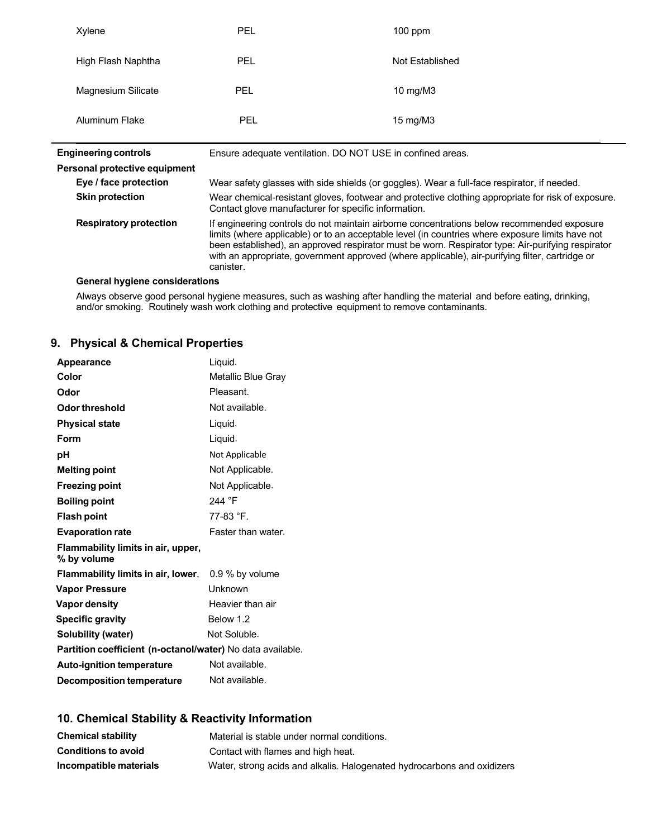| <b>PEL</b>                                                                                                                                                                                                                                                                                                                                                                                                          | $100$ ppm                      |  |
|---------------------------------------------------------------------------------------------------------------------------------------------------------------------------------------------------------------------------------------------------------------------------------------------------------------------------------------------------------------------------------------------------------------------|--------------------------------|--|
| <b>PEL</b>                                                                                                                                                                                                                                                                                                                                                                                                          | Not Established                |  |
| <b>PEL</b>                                                                                                                                                                                                                                                                                                                                                                                                          | 10 mg/M $3$                    |  |
| <b>PEL</b>                                                                                                                                                                                                                                                                                                                                                                                                          | 15 mg/M $3$                    |  |
| <b>Engineering controls</b><br>Ensure adequate ventilation. DO NOT USE in confined areas.                                                                                                                                                                                                                                                                                                                           |                                |  |
|                                                                                                                                                                                                                                                                                                                                                                                                                     |                                |  |
| Wear safety glasses with side shields (or goggles). Wear a full-face respirator, if needed.                                                                                                                                                                                                                                                                                                                         |                                |  |
| Wear chemical-resistant gloves, footwear and protective clothing appropriate for risk of exposure.<br>Contact glove manufacturer for specific information.                                                                                                                                                                                                                                                          |                                |  |
| If engineering controls do not maintain airborne concentrations below recommended exposure<br>limits (where applicable) or to an acceptable level (in countries where exposure limits have not<br>been established), an approved respirator must be worn. Respirator type: Air-purifying respirator<br>with an appropriate, government approved (where applicable), air-purifying filter, cartridge or<br>canister. |                                |  |
|                                                                                                                                                                                                                                                                                                                                                                                                                     | General hygiene considerations |  |

**General hygiene considerations**

Always observe good personal hygiene measures, such as washing after handling the material and before eating, drinking, and/or smoking. Routinely wash work clothing and protective equipment to remove contaminants.

# **9. Physical & Chemical Properties**

| <b>Appearance</b>                                          | Liquid.            |  |
|------------------------------------------------------------|--------------------|--|
| Color                                                      | Metallic Blue Gray |  |
| Odor                                                       | Pleasant.          |  |
| Odor threshold                                             | Not available.     |  |
| <b>Physical state</b>                                      | Liquid.            |  |
| Form                                                       | Liquid.            |  |
| рH                                                         | Not Applicable     |  |
| <b>Melting point</b>                                       | Not Applicable.    |  |
| <b>Freezing point</b>                                      | Not Applicable.    |  |
| <b>Boiling point</b>                                       | 244 °F             |  |
| <b>Flash point</b>                                         | 77-83 °F.          |  |
| <b>Evaporation rate</b>                                    | Faster than water. |  |
| Flammability limits in air, upper,<br>% by volume          |                    |  |
| Flammability limits in air, lower,                         | $0.9\%$ by volume  |  |
| <b>Vapor Pressure</b>                                      | Unknown            |  |
| <b>Vapor density</b>                                       | Heavier than air   |  |
| <b>Specific gravity</b>                                    | Below 1.2          |  |
| <b>Solubility (water)</b>                                  | Not Soluble.       |  |
| Partition coefficient (n-octanol/water) No data available. |                    |  |
| <b>Auto-ignition temperature</b>                           | Not available.     |  |
| <b>Decomposition temperature</b>                           | Not available.     |  |

# **10. Chemical Stability & Reactivity Information**

| <b>Chemical stability</b>  | Material is stable under normal conditions.                             |
|----------------------------|-------------------------------------------------------------------------|
| <b>Conditions to avoid</b> | Contact with flames and high heat.                                      |
| Incompatible materials     | Water, strong acids and alkalis. Halogenated hydrocarbons and oxidizers |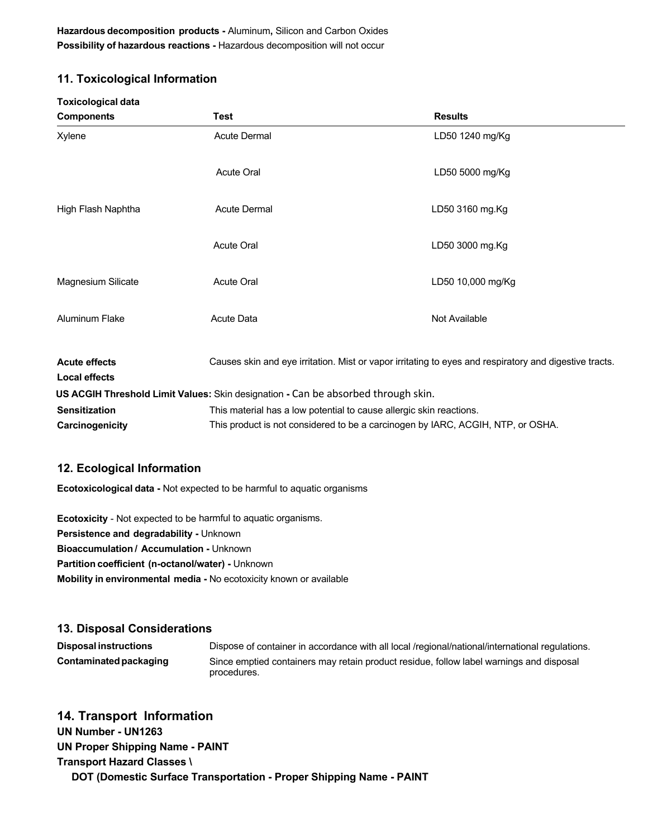**Hazardous decomposition products -** Aluminum**,** Silicon and Carbon Oxides **Possibility of hazardous reactions -** Hazardous decomposition will not occur

## **11. Toxicological Information**

| <b>Toxicological data</b>                    |                                                                                   |                                                                                                        |
|----------------------------------------------|-----------------------------------------------------------------------------------|--------------------------------------------------------------------------------------------------------|
| <b>Components</b>                            | <b>Test</b>                                                                       | <b>Results</b>                                                                                         |
| Xylene                                       | <b>Acute Dermal</b>                                                               | LD50 1240 mg/Kg                                                                                        |
|                                              | <b>Acute Oral</b>                                                                 | LD50 5000 mg/Kg                                                                                        |
| High Flash Naphtha                           | <b>Acute Dermal</b>                                                               | LD50 3160 mg.Kg                                                                                        |
|                                              | <b>Acute Oral</b>                                                                 | LD50 3000 mg.Kg                                                                                        |
| Magnesium Silicate                           | <b>Acute Oral</b>                                                                 | LD50 10,000 mg/Kg                                                                                      |
| Aluminum Flake                               | <b>Acute Data</b>                                                                 | Not Available                                                                                          |
| <b>Acute effects</b><br><b>Local effects</b> |                                                                                   | Causes skin and eye irritation. Mist or vapor irritating to eyes and respiratory and digestive tracts. |
|                                              | US ACGIH Threshold Limit Values: Skin designation - Can be absorbed through skin. |                                                                                                        |
| <b>Sensitization</b>                         | This material has a low potential to cause allergic skin reactions.               |                                                                                                        |
| Carcinogenicity                              | This product is not considered to be a carcinogen by IARC, ACGIH, NTP, or OSHA.   |                                                                                                        |

## **12. Ecological Information**

**Ecotoxicological data -** Not expected to be harmful to aquatic organisms

**Ecotoxicity** - Not expected to be harmful to aquatic organisms. **Persistence and degradability -** Unknown **Bioaccumulation / Accumulation -** Unknown **Partition coefficient (n-octanol/water) -** Unknown **Mobility in environmental media -** No ecotoxicity known or available

## **13. Disposal Considerations**

**Disposal instructions** Dispose of container in accordance with all local /regional/national/international regulations. **Contaminatedpackaging** Since emptied containers may retain product residue, follow label warnings and disposal procedures.

# **14. Transport Information**

**UN Number - UN1263 UN Proper Shipping Name - PAINT Transport Hazard Classes \ DOT (Domestic Surface Transportation - Proper Shipping Name - PAINT**